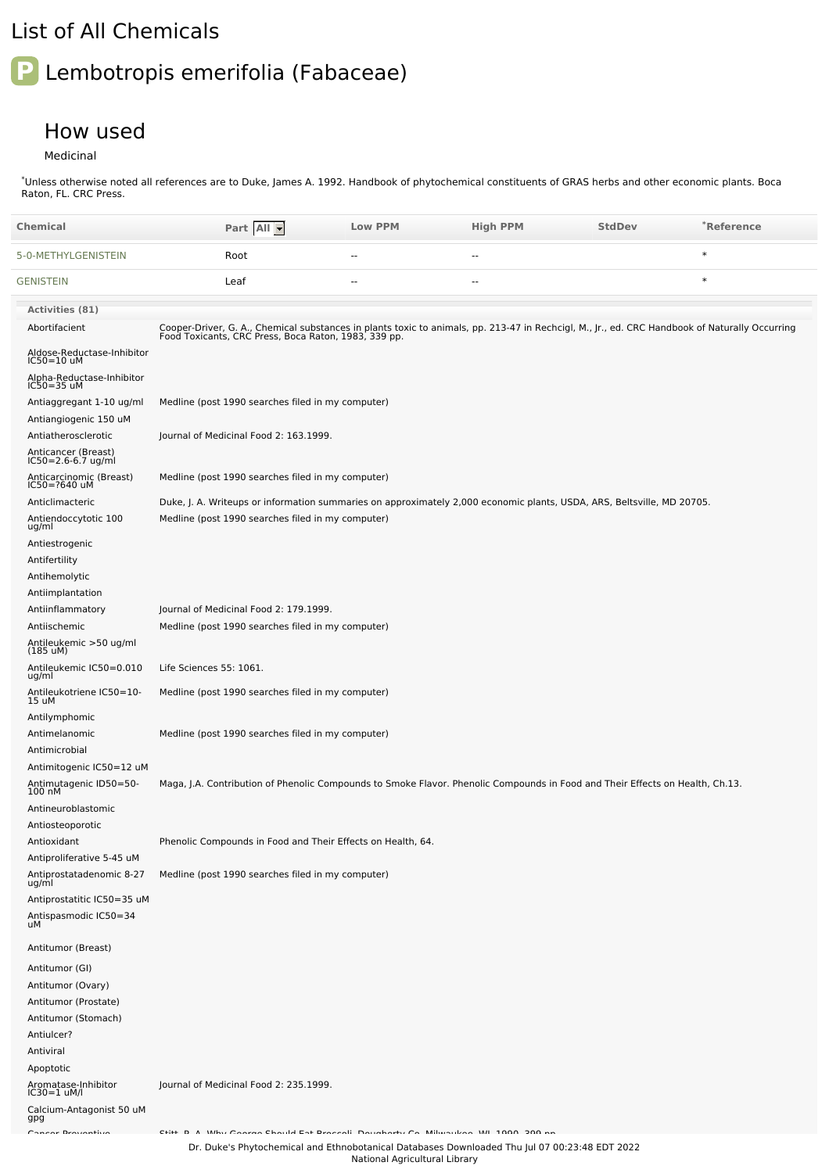## List of All Chemicals

## **P** Lembotropis emerifolia (Fabaceae)

## How used

## Medicinal

\*Unless otherwise noted all references are to Duke, James A. 1992. Handbook of phytochemical constituents of GRAS herbs and other economic plants. Boca Raton, FL. CRC Press.

| Chemical                                                         | Part All -                                                                                                                                                                                             | <b>Low PPM</b> | <b>High PPM</b> | <b>StdDev</b> | *Reference |
|------------------------------------------------------------------|--------------------------------------------------------------------------------------------------------------------------------------------------------------------------------------------------------|----------------|-----------------|---------------|------------|
| 5-0-METHYLGENISTEIN                                              | Root                                                                                                                                                                                                   | --             | --              |               | $\ast$     |
| <b>GENISTEIN</b>                                                 | Leaf                                                                                                                                                                                                   | --             | $\overline{a}$  |               | $\ast$     |
| <b>Activities (81)</b>                                           |                                                                                                                                                                                                        |                |                 |               |            |
| Abortifacient                                                    | Cooper-Driver, G. A., Chemical substances in plants toxic to animals, pp. 213-47 in Rechcigl, M., Jr., ed. CRC Handbook of Naturally Occurring<br>Food Toxicants, CRC Press, Boca Raton, 1983, 339 pp. |                |                 |               |            |
| Aldose-Reductase-Inhibitor<br>$IC50=10$ uM                       |                                                                                                                                                                                                        |                |                 |               |            |
| Alpha-Reductase-Inhibitor<br>$IC50 = 35$ uM                      |                                                                                                                                                                                                        |                |                 |               |            |
| Antiaggregant 1-10 ug/ml                                         | Medline (post 1990 searches filed in my computer)                                                                                                                                                      |                |                 |               |            |
| Antiangiogenic 150 uM                                            |                                                                                                                                                                                                        |                |                 |               |            |
| Antiatherosclerotic<br>Anticancer (Breast)<br>IC50=2.6-6.7 ug/ml | Journal of Medicinal Food 2: 163.1999.                                                                                                                                                                 |                |                 |               |            |
| Anticarcinomic (Breast)<br>IC50=?640 uM                          | Medline (post 1990 searches filed in my computer)                                                                                                                                                      |                |                 |               |            |
| Anticlimacteric                                                  | Duke, J. A. Writeups or information summaries on approximately 2,000 economic plants, USDA, ARS, Beltsville, MD 20705.                                                                                 |                |                 |               |            |
| Antiendoccytotic 100<br>ug/ml                                    | Medline (post 1990 searches filed in my computer)                                                                                                                                                      |                |                 |               |            |
| Antiestrogenic<br>Antifertility                                  |                                                                                                                                                                                                        |                |                 |               |            |
| Antihemolytic                                                    |                                                                                                                                                                                                        |                |                 |               |            |
| Antiimplantation                                                 |                                                                                                                                                                                                        |                |                 |               |            |
| Antiinflammatory                                                 | Journal of Medicinal Food 2: 179.1999.                                                                                                                                                                 |                |                 |               |            |
| Antiischemic                                                     | Medline (post 1990 searches filed in my computer)                                                                                                                                                      |                |                 |               |            |
| Antileukemic >50 ug/ml<br>(185 uM)                               |                                                                                                                                                                                                        |                |                 |               |            |
| Antileukemic IC50=0.010<br>ug/ml                                 | Life Sciences 55: 1061.                                                                                                                                                                                |                |                 |               |            |
| Antileukotriene IC50=10-<br>15 uM                                | Medline (post 1990 searches filed in my computer)                                                                                                                                                      |                |                 |               |            |
| Antilymphomic                                                    |                                                                                                                                                                                                        |                |                 |               |            |
| Antimelanomic                                                    | Medline (post 1990 searches filed in my computer)                                                                                                                                                      |                |                 |               |            |
| Antimicrobial                                                    |                                                                                                                                                                                                        |                |                 |               |            |
| Antimitogenic IC50=12 uM                                         |                                                                                                                                                                                                        |                |                 |               |            |
| Antimutagenic ID50=50-<br>100 nM                                 | Maga, J.A. Contribution of Phenolic Compounds to Smoke Flavor. Phenolic Compounds in Food and Their Effects on Health, Ch.13.                                                                          |                |                 |               |            |
| Antineuroblastomic                                               |                                                                                                                                                                                                        |                |                 |               |            |
| Antiosteoporotic                                                 |                                                                                                                                                                                                        |                |                 |               |            |
| Antioxidant                                                      | Phenolic Compounds in Food and Their Effects on Health, 64.                                                                                                                                            |                |                 |               |            |
| Antiproliferative 5-45 uM<br>Antiprostatadenomic 8-27            | Medline (post 1990 searches filed in my computer)                                                                                                                                                      |                |                 |               |            |
| ug/ml<br>Antiprostatitic IC50=35 uM                              |                                                                                                                                                                                                        |                |                 |               |            |
| Antispasmodic IC50=34<br>uМ                                      |                                                                                                                                                                                                        |                |                 |               |            |
| Antitumor (Breast)                                               |                                                                                                                                                                                                        |                |                 |               |            |
| Antitumor (GI)                                                   |                                                                                                                                                                                                        |                |                 |               |            |
| Antitumor (Ovary)                                                |                                                                                                                                                                                                        |                |                 |               |            |
| Antitumor (Prostate)                                             |                                                                                                                                                                                                        |                |                 |               |            |
| Antitumor (Stomach)                                              |                                                                                                                                                                                                        |                |                 |               |            |
| Antiulcer?                                                       |                                                                                                                                                                                                        |                |                 |               |            |
| Antiviral                                                        |                                                                                                                                                                                                        |                |                 |               |            |
| Apoptotic                                                        |                                                                                                                                                                                                        |                |                 |               |            |
| Aromatase-Inhibitor<br>IC30=1 uM/l                               | Journal of Medicinal Food 2: 235.1999.                                                                                                                                                                 |                |                 |               |            |
| Calcium-Antagonist 50 uM<br>gpg                                  |                                                                                                                                                                                                        |                |                 |               |            |
| Concer Brotanthun                                                | CELL B. A. White Consumer Charled East Descaration Davishantic Co., Military Jones, WIL 1000, 200 as                                                                                                   |                |                 |               |            |